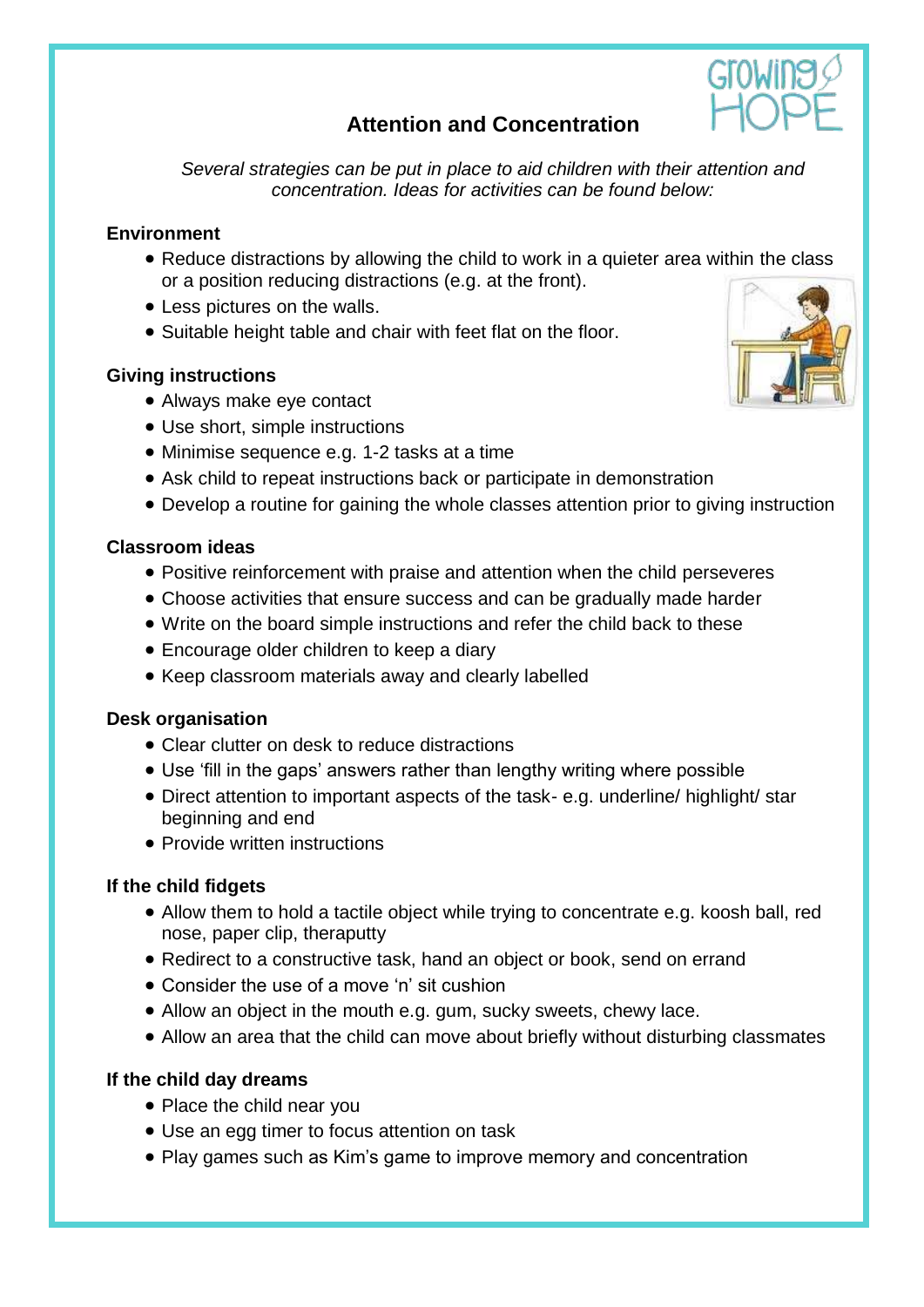# **Attention and Concentration**

*Several strategies can be put in place to aid children with their attention and concentration. Ideas for activities can be found below:*

### **Environment**

- Reduce distractions by allowing the child to work in a quieter area within the class or a position reducing distractions (e.g. at the front).
- Less pictures on the walls.
- Suitable height table and chair with feet flat on the floor.

### **Giving instructions**

- Always make eye contact
- Use short, simple instructions
- Minimise sequence e.g. 1-2 tasks at a time
- Ask child to repeat instructions back or participate in demonstration
- Develop a routine for gaining the whole classes attention prior to giving instruction

### **Classroom ideas**

- Positive reinforcement with praise and attention when the child perseveres
- Choose activities that ensure success and can be gradually made harder
- Write on the board simple instructions and refer the child back to these
- Encourage older children to keep a diary
- Keep classroom materials away and clearly labelled

### **Desk organisation**

- Clear clutter on desk to reduce distractions
- Use 'fill in the gaps' answers rather than lengthy writing where possible
- Direct attention to important aspects of the task- e.g. underline/ highlight/ star beginning and end
- Provide written instructions

### **If the child fidgets**

- Allow them to hold a tactile object while trying to concentrate e.g. koosh ball, red nose, paper clip, theraputty
- Redirect to a constructive task, hand an object or book, send on errand
- Consider the use of a move 'n' sit cushion
- Allow an object in the mouth e.g. gum, sucky sweets, chewy lace.
- Allow an area that the child can move about briefly without disturbing classmates

# **If the child day dreams**

- Place the child near you
- Use an egg timer to focus attention on task
- Play games such as Kim's game to improve memory and concentration